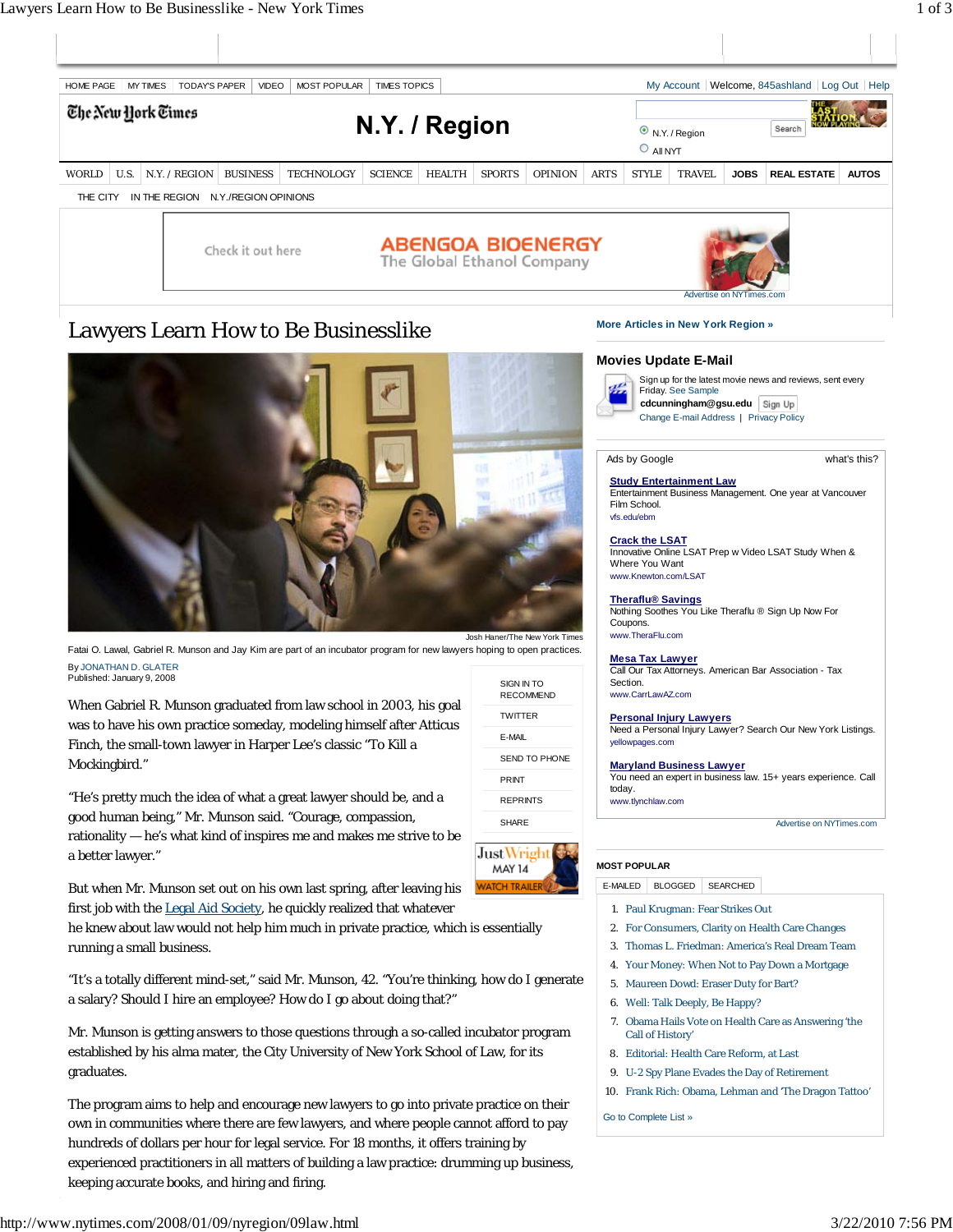

Josh Haner/The New York Times

SIGN IN TO RECOMMEND

E-MAIL SEND TO PHONE PRINT REPRINTS SHARE

**JustWrigh MAY 14** 

TWITTER

**Study Entertainment Law** Entertainment Business Management. One year at Vancouver Film School. vfs.edu/ebm

# **Crack the LSAT**

Innovative Online LSAT Prep w Video LSAT Study When & Where You Want www.Knewton.com/LSAT

### **Theraflu® Savings**

Nothing Soothes You Like Theraflu ® Sign Up Now For Coupons. www.TheraFlu.com

**Mesa Tax Lawyer** Call Our Tax Attorneys. American Bar Association - Tax Section. www.CarrLawAZ.com

**Personal Injury Lawyers** Need a Personal Injury Lawyer? Search Our New York Listings. yellowpages.com

## **Maryland Business Lawyer**

You need an expert in business law. 15+ years experience. Call today. www.tlynchlaw.com

Advertise on NYTimes.com

#### **MOST POPULAR**

E-MAILED BLOGGED SEARCHED

- 1. Paul Krugman: Fear Strikes Out
- 2. For Consumers, Clarity on Health Care Changes
- 3. Thomas L. Friedman: America's Real Dream Team
- 4. Your Money: When Not to Pay Down a Mortgage
- 5. Maureen Dowd: Eraser Duty for Bart?
- 6. Well: Talk Deeply, Be Happy?
- Obama Hails Vote on Health Care as Answering 'the 7. Call of History'
- 8. Editorial: Health Care Reform, at Last
- 9. U-2 Spy Plane Evades the Day of Retirement
- 10. Frank Rich: Obama, Lehman and 'The Dragon Tattoo'

Go to Complete List »



Fatai O. Lawal, Gabriel R. Munson and Jay Kim are part of an incubator program for new lawyers hoping to open practices. By JONATHAN D. GLATER Published: January 9, 2008

When Gabriel R. Munson graduated from law school in 2003, his goal was to have his own practice someday, modeling himself after Atticus Finch, the small-town lawyer in Harper Lee's classic "To Kill a Mockingbird."

"He's pretty much the idea of what a great lawyer should be, and a good human being," Mr. Munson said. "Courage, compassion, rationality — he's what kind of inspires me and makes me strive to be a better lawyer."

But when Mr. Munson set out on his own last spring, after leaving his first job with the Legal Aid Society, he quickly realized that whatever

he knew about law would not help him much in private practice, which is essentially running a small business.

"It's a totally different mind-set," said Mr. Munson, 42. "You're thinking, how do I generate a salary? Should I hire an employee? How do I go about doing that?"

Mr. Munson is getting answers to those questions through a so-called incubator program established by his alma mater, the City University of New York School of Law, for its graduates.

The program aims to help and encourage new lawyers to go into private practice on their own in communities where there are few lawyers, and where people cannot afford to pay hundreds of dollars per hour for legal service. For 18 months, it offers training by experienced practitioners in all matters of building a law practice: drumming up business, keeping accurate books, and hiring and firing.